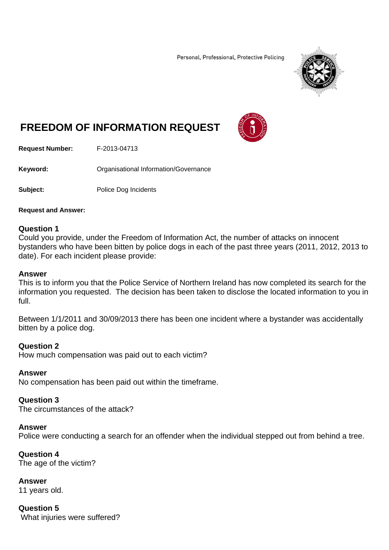Personal, Professional, Protective Policing



# **FREEDOM OF INFORMATION REQUEST**



**Request Number:** F-2013-04713

**Keyword:** Organisational Information/Governance

**Subject:** Police Dog Incidents

#### **Request and Answer:**

## **Question 1**

Could you provide, under the Freedom of Information Act, the number of attacks on innocent bystanders who have been bitten by police dogs in each of the past three years (2011, 2012, 2013 to date). For each incident please provide:

### **Answer**

This is to inform you that the Police Service of Northern Ireland has now completed its search for the information you requested. The decision has been taken to disclose the located information to you in full.

Between 1/1/2011 and 30/09/2013 there has been one incident where a bystander was accidentally bitten by a police dog.

## **Question 2**

How much compensation was paid out to each victim?

#### **Answer**

No compensation has been paid out within the timeframe.

#### **Question 3**

The circumstances of the attack?

#### **Answer**

Police were conducting a search for an offender when the individual stepped out from behind a tree.

## **Question 4**

The age of the victim?

**Answer** 

11 years old.

## **Question 5**

What injuries were suffered?